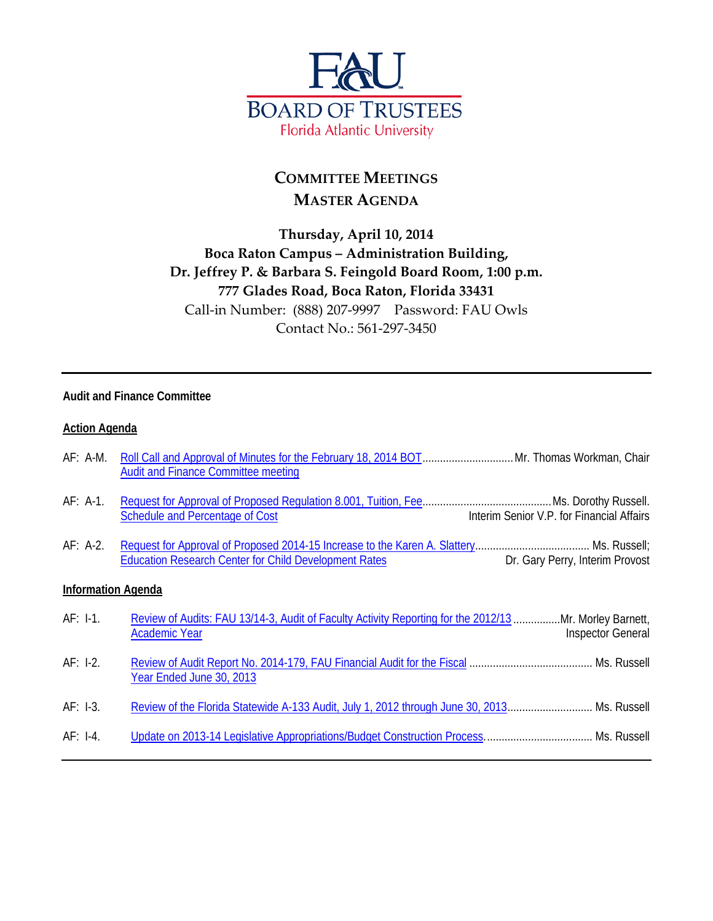

# **COMMITTEE MEETINGS MASTER AGENDA**

## **Thursday, April 10, 2014 Boca Raton Campus – Administration Building, Dr. Jeffrey P. & Barbara S. Feingold Board Room, 1:00 p.m. 777 Glades Road, Boca Raton, Florida 33431** Call-in Number: (888) 207-9997 Password: FAU Owls Contact No.: 561-297-3450

#### **Audit and Finance Committee**

#### **Action Agenda**

| $AF: A-M.$                | <b>Audit and Finance Committee meeting</b>                                                                                                                 |
|---------------------------|------------------------------------------------------------------------------------------------------------------------------------------------------------|
| $AF: A-1.$                | Interim Senior V.P. for Financial Affairs<br>Schedule and Percentage of Cost                                                                               |
| $AF: A-2.$                | <b>Education Research Center for Child Development Rates</b><br>Dr. Gary Perry, Interim Provost                                                            |
| <b>Information Agenda</b> |                                                                                                                                                            |
| $AF: I-1.$                | Review of Audits: FAU 13/14-3, Audit of Faculty Activity Reporting for the 2012/13 Mr. Morley Barnett,<br><b>Inspector General</b><br><b>Academic Year</b> |
| $AF: I-2.$                | Year Ended June 30, 2013                                                                                                                                   |
| $AF: I-3.$                | Review of the Florida Statewide A-133 Audit, July 1, 2012 through June 30, 2013 Ms. Russell                                                                |
| $AF: I-4.$                |                                                                                                                                                            |